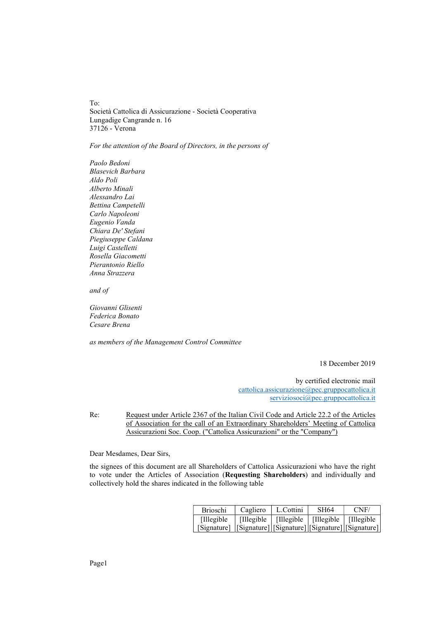To: Società Cattolica di Assicurazione - Società Cooperativa Lungadige Cangrande n. 16 37126 - Verona

## For the attention of the Board of Directors, in the persons of

Paolo Bedoni Blasevich Barbara Aldo Poli Alberto Minali Alessandro Lai Bettina Campetelli Carlo Napoleoni Eugenio Vanda Chiara De' Stefani Piegiuseppe Caldana Luigi Castelletti Rosella Giacometti Pierantonio Riello Anna Strazzera

and of

Giovanni Glisenti Federica Bonato Cesare Brena

as members of the Management Control Committee

18 December 2019

by certified electronic mail cattolica.assicurazione@pec.gruppocattolica.it serviziosoci@pec.gruppocattolica.it

Re: Request under Article 2367 of the Italian Civil Code and Article 22.2 of the Articles of Association for the call of an Extraordinary Shareholders' Meeting of Cattolica Assicurazioni Soc. Coop. ("Cattolica Assicurazioni" or the "Company")

Dear Mesdames, Dear Sirs,

the signees of this document are all Shareholders of Cattolica Assicurazioni who have the right to vote under the Articles of Association (Requesting Shareholders) and individually and collectively hold the shares indicated in the following table

| <b>Brioschi</b>                                                     | Cagliero | L.Cottini                                         | SH <sub>64</sub> | CNF/ |
|---------------------------------------------------------------------|----------|---------------------------------------------------|------------------|------|
| <b>Illegible</b>                                                    |          | [Illegible   [Illegible   [Illegible   [Illegible |                  |      |
| [Signature]   [Signature]   [Signature]   [Signature]   [Signature] |          |                                                   |                  |      |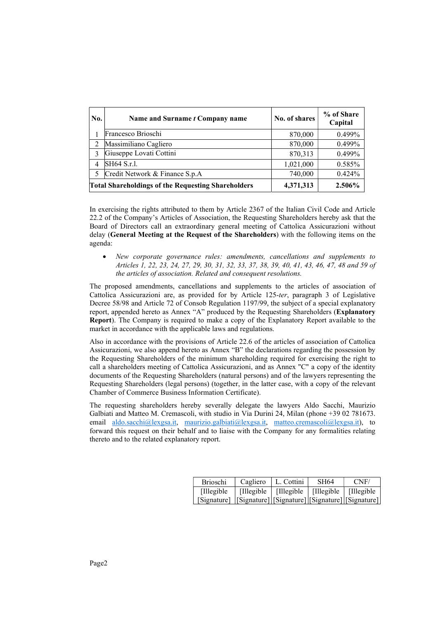| No. | Name and Surname t Company name                           | No. of shares | % of Share<br>Capital |
|-----|-----------------------------------------------------------|---------------|-----------------------|
|     | Francesco Brioschi                                        | 870,000       | 0.499%                |
|     | Massimiliano Cagliero                                     | 870,000       | 0.499%                |
| 3   | Giuseppe Lovati Cottini                                   | 870,313       | 0.499%                |
| 4   | SH64 S.r.l.                                               | 1,021,000     | 0.585%                |
| 5   | Credit Network & Finance S.p.A                            | 740,000       | $0.424\%$             |
|     | <b>Total Shareholdings of the Requesting Shareholders</b> | 4,371,313     | 2.506%                |

In exercising the rights attributed to them by Article 2367 of the Italian Civil Code and Article 22.2 of the Company's Articles of Association, the Requesting Shareholders hereby ask that the Board of Directors call an extraordinary general meeting of Cattolica Assicurazioni without delay (General Meeting at the Request of the Shareholders) with the following items on the agenda:

 New corporate governance rules: amendments, cancellations and supplements to Articles 1, 22, 23, 24, 27, 29, 30, 31, 32, 33, 37, 38, 39, 40, 41, 43, 46, 47, 48 and 59 of the articles of association. Related and consequent resolutions.

The proposed amendments, cancellations and supplements to the articles of association of Cattolica Assicurazioni are, as provided for by Article 125-ter, paragraph 3 of Legislative Decree 58/98 and Article 72 of Consob Regulation 1197/99, the subject of a special explanatory report, appended hereto as Annex "A" produced by the Requesting Shareholders (Explanatory Report). The Company is required to make a copy of the Explanatory Report available to the market in accordance with the applicable laws and regulations.

Also in accordance with the provisions of Article 22.6 of the articles of association of Cattolica Assicurazioni, we also append hereto as Annex "B" the declarations regarding the possession by the Requesting Shareholders of the minimum shareholding required for exercising the right to call a shareholders meeting of Cattolica Assicurazioni, and as Annex "C" a copy of the identity documents of the Requesting Shareholders (natural persons) and of the lawyers representing the Requesting Shareholders (legal persons) (together, in the latter case, with a copy of the relevant Chamber of Commerce Business Information Certificate).

The requesting shareholders hereby severally delegate the lawyers Aldo Sacchi, Maurizio Galbiati and Matteo M. Cremascoli, with studio in Via Durini 24, Milan (phone +39 02 781673. email aldo.sacchi@lexgsa.it, maurizio.galbiati@lexgsa.it, matteo.cremascoli@lexgsa.it), to forward this request on their behalf and to liaise with the Company for any formalities relating thereto and to the related explanatory report.

| <b>Brioschi</b>                                                     | Cagliero                                          | L. Cottini | SH64 | CNF/ |
|---------------------------------------------------------------------|---------------------------------------------------|------------|------|------|
| <b>Illegible</b>                                                    | [Illegible   [Illegible   [Illegible   [Illegible |            |      |      |
| [Signature]   [Signature]   [Signature]   [Signature]   [Signature] |                                                   |            |      |      |